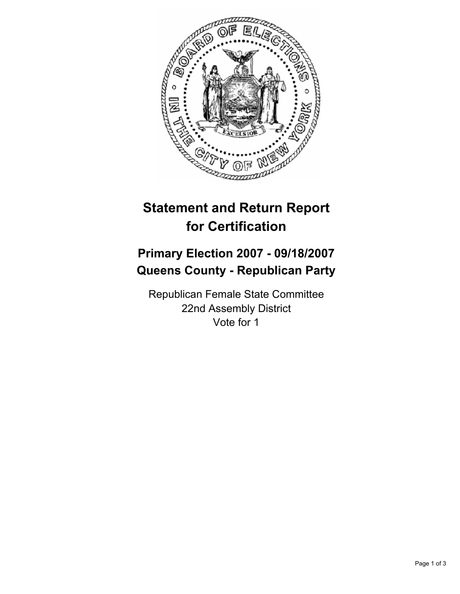

## **Statement and Return Report for Certification**

## **Primary Election 2007 - 09/18/2007 Queens County - Republican Party**

Republican Female State Committee 22nd Assembly District Vote for 1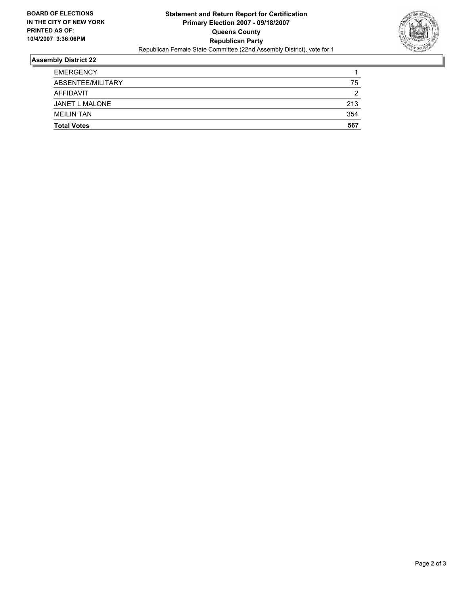

## **Assembly District 22**

| <b>Total Votes</b> | 567 |
|--------------------|-----|
| <b>MEILIN TAN</b>  | 354 |
| JANET L MALONE     | 213 |
| AFFIDAVIT          | ◠   |
| ABSENTEE/MILITARY  | 75  |
| <b>EMERGENCY</b>   |     |